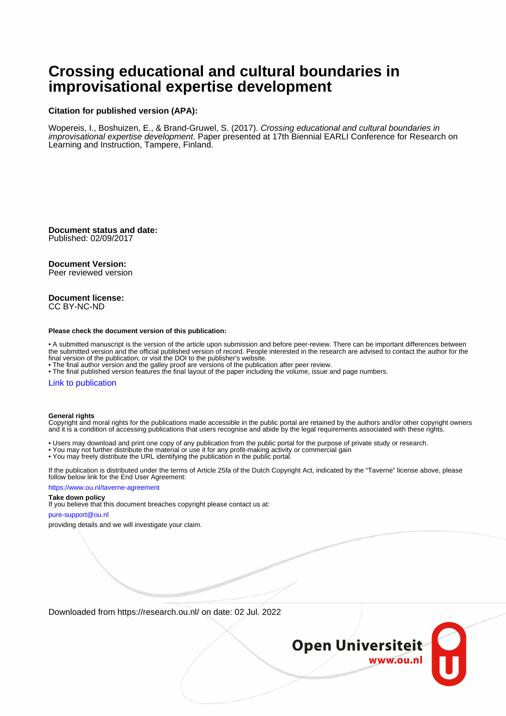# **Crossing educational and cultural boundaries in improvisational expertise development**

# **Citation for published version (APA):**

Wopereis, I., Boshuizen, E., & Brand-Gruwel, S. (2017). Crossing educational and cultural boundaries in improvisational expertise development. Paper presented at 17th Biennial EARLI Conference for Research on Learning and Instruction, Tampere, Finland.

**Document status and date:** Published: 02/09/2017

### **Document Version:**

Peer reviewed version

#### **Document license:** CC BY-NC-ND

#### **Please check the document version of this publication:**

• A submitted manuscript is the version of the article upon submission and before peer-review. There can be important differences between the submitted version and the official published version of record. People interested in the research are advised to contact the author for the final version of the publication, or visit the DOI to the publisher's website.

• The final author version and the galley proof are versions of the publication after peer review.

• The final published version features the final layout of the paper including the volume, issue and page numbers.

#### [Link to publication](https://research.ou.nl/en/publications/14c60c5b-32a9-4414-ba41-066173f46db3)

#### **General rights**

Copyright and moral rights for the publications made accessible in the public portal are retained by the authors and/or other copyright owners and it is a condition of accessing publications that users recognise and abide by the legal requirements associated with these rights.

- Users may download and print one copy of any publication from the public portal for the purpose of private study or research.
- You may not further distribute the material or use it for any profit-making activity or commercial gain
- You may freely distribute the URL identifying the publication in the public portal.

If the publication is distributed under the terms of Article 25fa of the Dutch Copyright Act, indicated by the "Taverne" license above, please follow below link for the End User Agreement:

#### https://www.ou.nl/taverne-agreement

### **Take down policy**

If you believe that this document breaches copyright please contact us at:

#### pure-support@ou.nl

providing details and we will investigate your claim.

Downloaded from https://research.ou.nl/ on date: 02 Jul. 2022

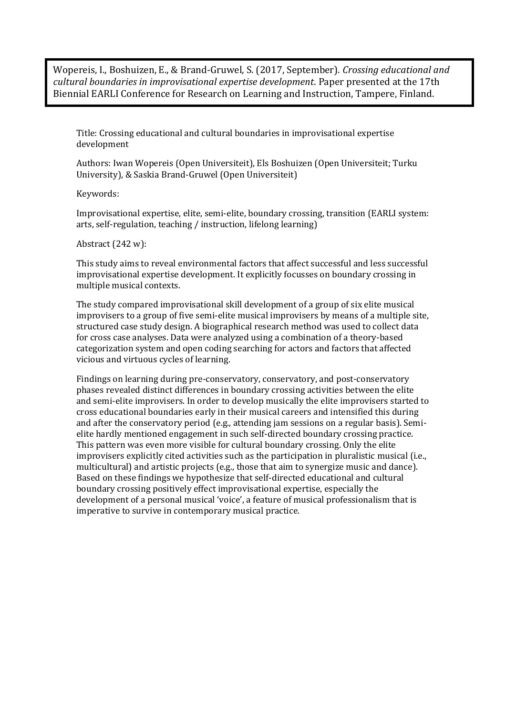Wopereis, I., Boshuizen, E., & Brand-Gruwel, S. (2017, September). *Crossing educational and cultural boundaries in improvisational expertise development*. Paper presented at the 17th Biennial EARLI Conference for Research on Learning and Instruction, Tampere, Finland.

Title: Crossing educational and cultural boundaries in improvisational expertise development

Authors: Iwan Wopereis (Open Universiteit), Els Boshuizen (Open Universiteit; Turku University), & Saskia Brand-Gruwel (Open Universiteit)

Keywords:

Improvisational expertise, elite, semi-elite, boundary crossing, transition (EARLI system: arts, self-regulation, teaching / instruction, lifelong learning)

Abstract (242 w):

This study aims to reveal environmental factors that affect successful and less successful improvisational expertise development. It explicitly focusses on boundary crossing in multiple musical contexts.

The study compared improvisational skill development of a group of six elite musical improvisers to a group of five semi-elite musical improvisers by means of a multiple site, structured case study design. A biographical research method was used to collect data for cross case analyses. Data were analyzed using a combination of a theory-based categorization system and open coding searching for actors and factors that affected vicious and virtuous cycles of learning.

Findings on learning during pre-conservatory, conservatory, and post-conservatory phases revealed distinct differences in boundary crossing activities between the elite and semi-elite improvisers. In order to develop musically the elite improvisers started to cross educational boundaries early in their musical careers and intensified this during and after the conservatory period (e.g., attending jam sessions on a regular basis). Semielite hardly mentioned engagement in such self-directed boundary crossing practice. This pattern was even more visible for cultural boundary crossing. Only the elite improvisers explicitly cited activities such as the participation in pluralistic musical (i.e., multicultural) and artistic projects (e.g., those that aim to synergize music and dance). Based on these findings we hypothesize that self-directed educational and cultural boundary crossing positively effect improvisational expertise, especially the development of a personal musical 'voice', a feature of musical professionalism that is imperative to survive in contemporary musical practice.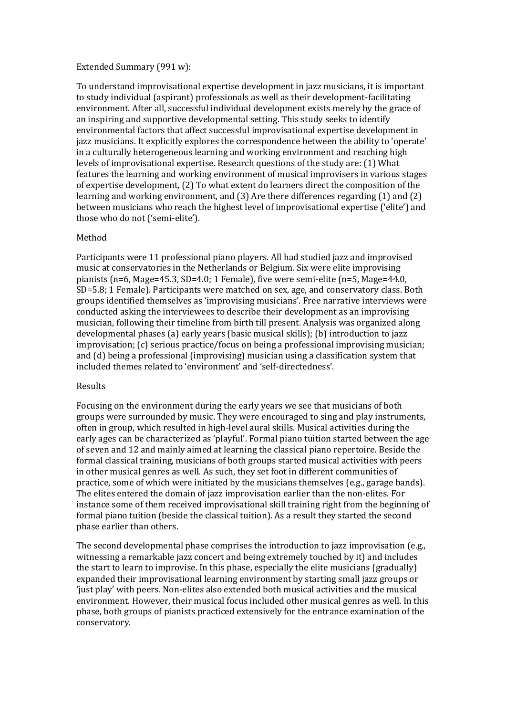### Extended Summary (991 w):

To understand improvisational expertise development in jazz musicians, it is important to study individual (aspirant) professionals as well as their development-facilitating environment. After all, successful individual development exists merely by the grace of an inspiring and supportive developmental setting. This study seeks to identify environmental factors that affect successful improvisational expertise development in jazz musicians. It explicitly explores the correspondence between the ability to 'operate' in a culturally heterogeneous learning and working environment and reaching high levels of improvisational expertise. Research questions of the study are: (1) What features the learning and working environment of musical improvisers in various stages of expertise development, (2) To what extent do learners direct the composition of the learning and working environment, and (3) Are there differences regarding (1) and (2) between musicians who reach the highest level of improvisational expertise ('elite') and those who do not ('semi-elite').

# Method

Participants were 11 professional piano players. All had studied jazz and improvised music at conservatories in the Netherlands or Belgium. Six were elite improvising pianists (n=6, Mage=45.3, SD=4.0; 1 Female), five were semi-elite (n=5, Mage=44.0, SD=5.8; 1 Female). Participants were matched on sex, age, and conservatory class. Both groups identified themselves as 'improvising musicians'. Free narrative interviews were conducted asking the interviewees to describe their development as an improvising musician, following their timeline from birth till present. Analysis was organized along developmental phases (a) early years (basic musical skills); (b) introduction to jazz improvisation; (c) serious practice/focus on being a professional improvising musician; and (d) being a professional (improvising) musician using a classification system that included themes related to 'environment' and 'self-directedness'.

### Results

Focusing on the environment during the early years we see that musicians of both groups were surrounded by music. They were encouraged to sing and play instruments, often in group, which resulted in high-level aural skills. Musical activities during the early ages can be characterized as 'playful'. Formal piano tuition started between the age of seven and 12 and mainly aimed at learning the classical piano repertoire. Beside the formal classical training, musicians of both groups started musical activities with peers in other musical genres as well. As such, they set foot in different communities of practice, some of which were initiated by the musicians themselves (e.g., garage bands). The elites entered the domain of jazz improvisation earlier than the non-elites. For instance some of them received improvisational skill training right from the beginning of formal piano tuition (beside the classical tuition). As a result they started the second phase earlier than others.

The second developmental phase comprises the introduction to jazz improvisation (e.g., witnessing a remarkable jazz concert and being extremely touched by it) and includes the start to learn to improvise. In this phase, especially the elite musicians (gradually) expanded their improvisational learning environment by starting small jazz groups or 'just play' with peers. Non-elites also extended both musical activities and the musical environment. However, their musical focus included other musical genres as well. In this phase, both groups of pianists practiced extensively for the entrance examination of the conservatory.